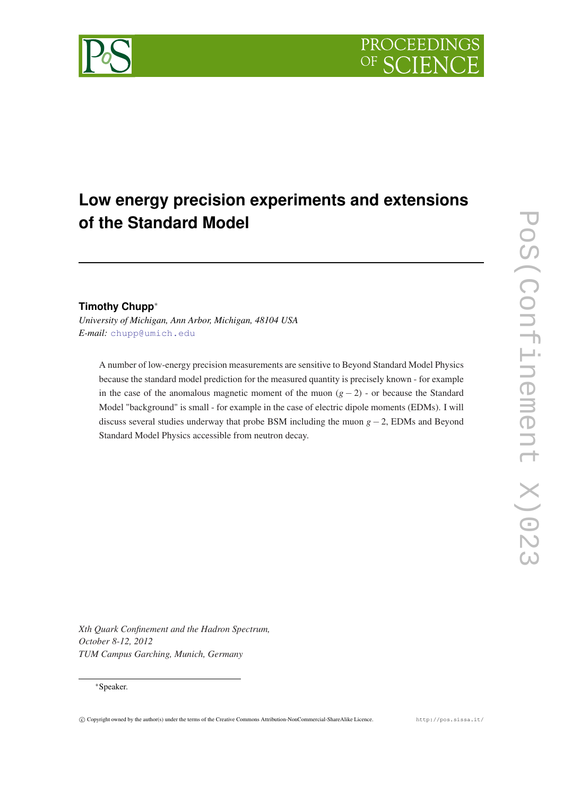

# **Low energy precision experiments and extensions of the Standard Model**

## **Timothy Chupp**<sup>∗</sup>

*University of Michigan, Ann Arbor, Michigan, 48104 USA E-mail:* [chupp@umich.edu](mailto:chupp@umich.edu)

A number of low-energy precision measurements are sensitive to Beyond Standard Model Physics because the standard model prediction for the measured quantity is precisely known - for example in the case of the anomalous magnetic moment of the muon  $(g - 2)$  - or because the Standard Model "background" is small - for example in the case of electric dipole moments (EDMs). I will discuss several studies underway that probe BSM including the muon *g*−2, EDMs and Beyond Standard Model Physics accessible from neutron decay.

*Xth Quark Confinement and the Hadron Spectrum, October 8-12, 2012 TUM Campus Garching, Munich, Germany*

#### <sup>∗</sup>Speaker.

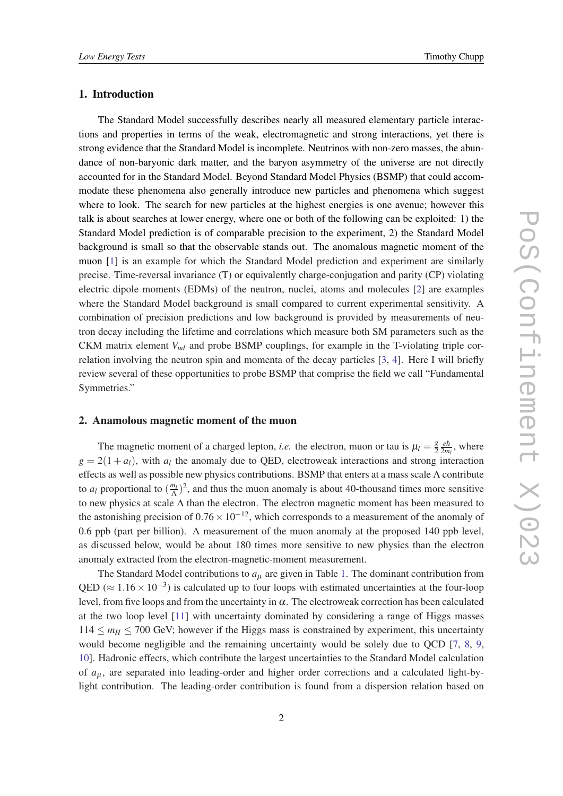#### 1. Introduction

The Standard Model successfully describes nearly all measured elementary particle interactions and properties in terms of the weak, electromagnetic and strong interactions, yet there is strong evidence that the Standard Model is incomplete. Neutrinos with non-zero masses, the abundance of non-baryonic dark matter, and the baryon asymmetry of the universe are not directly accounted for in the Standard Model. Beyond Standard Model Physics (BSMP) that could accommodate these phenomena also generally introduce new particles and phenomena which suggest where to look. The search for new particles at the highest energies is one avenue; however this talk is about searches at lower energy, where one or both of the following can be exploited: 1) the Standard Model prediction is of comparable precision to the experiment, 2) the Standard Model background is small so that the observable stands out. The anomalous magnetic moment of the muon [[1](#page-12-0)] is an example for which the Standard Model prediction and experiment are similarly precise. Time-reversal invariance (T) or equivalently charge-conjugation and parity (CP) violating electric dipole moments (EDMs) of the neutron, nuclei, atoms and molecules [[2\]](#page-12-0) are examples where the Standard Model background is small compared to current experimental sensitivity. A combination of precision predictions and low background is provided by measurements of neutron decay including the lifetime and correlations which measure both SM parameters such as the CKM matrix element *Vud* and probe BSMP couplings, for example in the T-violating triple correlation involving the neutron spin and momenta of the decay particles [[3,](#page-12-0) [4](#page-12-0)]. Here I will briefly review several of these opportunities to probe BSMP that comprise the field we call "Fundamental Symmetries."

#### 2. Anamolous magnetic moment of the muon

The magnetic moment of a charged lepton, *i.e.* the electron, muon or tau is  $\mu_l = \frac{g}{2}$ 2 *eh*¯  $rac{eh}{2m_l}$ , where  $g = 2(1 + a_l)$ , with  $a_l$  the anomaly due to QED, electroweak interactions and strong interaction effects as well as possible new physics contributions. BSMP that enters at a mass scale Λ contribute to  $a_l$  proportional to  $\left(\frac{m_l}{\Delta}\right)$  $\frac{n_l}{\Lambda}$ )<sup>2</sup>, and thus the muon anomaly is about 40-thousand times more sensitive to new physics at scale  $\Lambda$  than the electron. The electron magnetic moment has been measured to the astonishing precision of  $0.76 \times 10^{-12}$ , which corresponds to a measurement of the anomaly of 0.6 ppb (part per billion). A measurement of the muon anomaly at the proposed 140 ppb level, as discussed below, would be about 180 times more sensitive to new physics than the electron anomaly extracted from the electron-magnetic-moment measurement.

The Standard Model contributions to  $a<sub>u</sub>$  are given in Table [1.](#page-2-0) The dominant contribution from QED ( $\approx 1.16 \times 10^{-3}$ ) is calculated up to four loops with estimated uncertainties at the four-loop level, from five loops and from the uncertainty in  $\alpha$ . The electroweak correction has been calculated at the two loop level [\[11\]](#page-12-0) with uncertainty dominated by considering a range of Higgs masses  $114 \leq m_H \leq 700$  GeV; however if the Higgs mass is constrained by experiment, this uncertainty would become negligible and the remaining uncertainty would be solely due to QCD [\[7](#page-12-0), [8,](#page-12-0) [9](#page-12-0), [10](#page-12-0)]. Hadronic effects, which contribute the largest uncertainties to the Standard Model calculation of *a*<sup>µ</sup> , are separated into leading-order and higher order corrections and a calculated light-bylight contribution. The leading-order contribution is found from a dispersion relation based on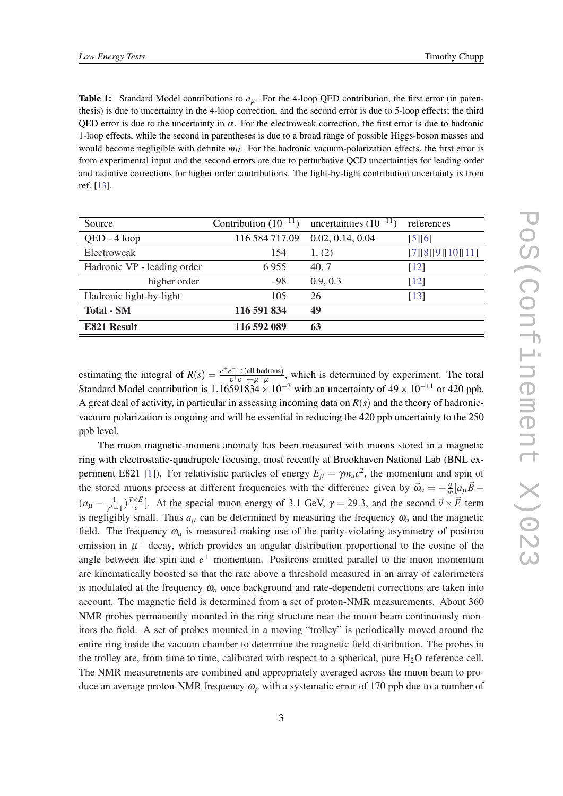<span id="page-2-0"></span>**Table 1:** Standard Model contributions to  $a<sub>u</sub>$ . For the 4-loop QED contribution, the first error (in parenthesis) is due to uncertainty in the 4-loop correction, and the second error is due to 5-loop effects; the third QED error is due to the uncertainty in  $\alpha$ . For the electroweak correction, the first error is due to hadronic 1-loop effects, while the second in parentheses is due to a broad range of possible Higgs-boson masses and would become negligible with definite  $m<sub>H</sub>$ . For the hadronic vacuum-polarization effects, the first error is from experimental input and the second errors are due to perturbative QCD uncertainties for leading order and radiative corrections for higher order contributions. The light-by-light contribution uncertainty is from ref. [[13\]](#page-12-0).

| Source                      | Contribution $(10^{-11})$ | uncertainties $(10^{-11})$ | references        |
|-----------------------------|---------------------------|----------------------------|-------------------|
| QED - 4 loop                | 116 584 717.09            | 0.02, 0.14, 0.04           | [5][6]            |
| Electroweak                 | 154                       | 1, (2)                     | [7][8][9][10][11] |
| Hadronic VP - leading order | 6955                      | 40, 7                      | $[12]$            |
| higher order                | -98                       | 0.9, 0.3                   | $[12]$            |
| Hadronic light-by-light     | 105                       | 26                         | $[13]$            |
| <b>Total - SM</b>           | 116 591 834               | 49                         |                   |
| <b>E821 Result</b>          | 116 592 089               | 63                         |                   |

estimating the integral of  $R(s) = \frac{e^+e^- \to (\text{all hadrons})}{e^+e^- \to \mu^+\mu^-}$ , which is determined by experiment. The total Standard Model contribution is 1.16591834  $\times$  10<sup>-3</sup> with an uncertainty of 49  $\times$  10<sup>-11</sup> or 420 ppb. A great deal of activity, in particular in assessing incoming data on  $R(s)$  and the theory of hadronicvacuum polarization is ongoing and will be essential in reducing the 420 ppb uncertainty to the 250 ppb level.

The muon magnetic-moment anomaly has been measured with muons stored in a magnetic ring with electrostatic-quadrupole focusing, most recently at Brookhaven National Lab (BNL ex-periment E82[1](#page-12-0) [1]). For relativistic particles of energy  $E_{\mu} = \gamma m_{\mu} c^2$ , the momentum and spin of the stored muons precess at different frequencies with the difference given by  $\vec{\omega}_a = -\frac{q}{n}$  $\frac{q}{m}$ [ $a_{\mu} \vec{B}$  –  $(a_{\mu} - \frac{1}{r^2})$  $\frac{1}{\gamma^2-1}$ )  $\frac{\vec{v}\times\vec{E}}{c}$  $\frac{(\times \vec{E})}{c}$ . At the special muon energy of 3.1 GeV,  $\gamma = 29.3$ , and the second  $\vec{v} \times \vec{E}$  term is negligibly small. Thus  $a_{\mu}$  can be determined by measuring the frequency  $\omega_a$  and the magnetic field. The frequency  $\omega_a$  is measured making use of the parity-violating asymmetry of positron emission in  $\mu^+$  decay, which provides an angular distribution proportional to the cosine of the angle between the spin and *e* <sup>+</sup> momentum. Positrons emitted parallel to the muon momentum are kinematically boosted so that the rate above a threshold measured in an array of calorimeters is modulated at the frequency  $\omega_a$  once background and rate-dependent corrections are taken into account. The magnetic field is determined from a set of proton-NMR measurements. About 360 NMR probes permanently mounted in the ring structure near the muon beam continuously monitors the field. A set of probes mounted in a moving "trolley" is periodically moved around the entire ring inside the vacuum chamber to determine the magnetic field distribution. The probes in the trolley are, from time to time, calibrated with respect to a spherical, pure  $H_2O$  reference cell. The NMR measurements are combined and appropriately averaged across the muon beam to produce an average proton-NMR frequency  $\omega_p$  with a systematic error of 170 ppb due to a number of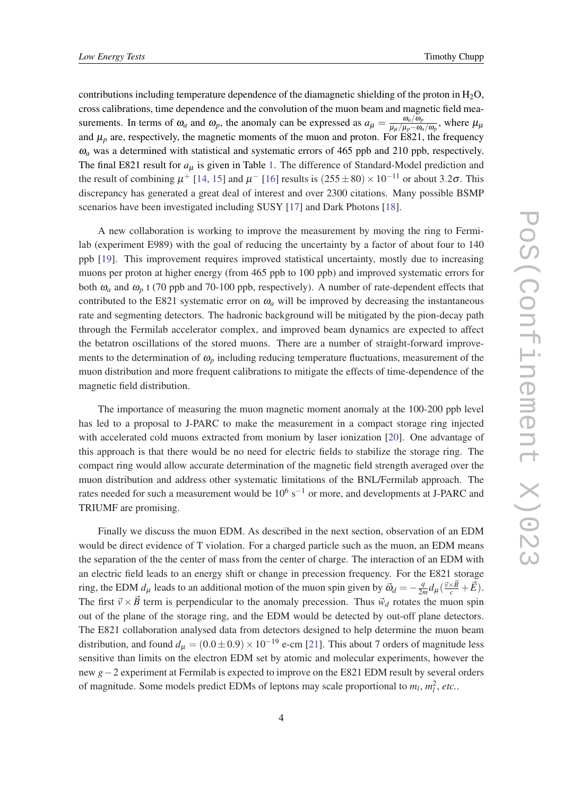contributions including temperature dependence of the diamagnetic shielding of the proton in  $H_2O$ , cross calibrations, time dependence and the convolution of the muon beam and magnetic field measurements. In terms of  $\omega_a$  and  $\omega_p$ , the anomaly can be expressed as  $a_\mu = \frac{\omega_a/\omega_p}{\mu_a/\mu_p - \omega_p}$  $\frac{\omega_a/\omega_p}{\mu_\mu/\mu_p - \omega_a/\omega_p}$ , where  $\mu_\mu$ and  $\mu_p$  are, respectively, the magnetic moments of the muon and proton. For E821, the frequency  $\omega_a$  was a determined with statistical and systematic errors of 465 ppb and 210 ppb, respectively. The final E821 result for  $a_{\mu}$  is given in Table [1.](#page-2-0) The difference of Standard-Model prediction and the result of combining  $\mu^+$  [\[14,](#page-12-0) [15](#page-12-0)] and  $\mu^-$  [[16](#page-12-0)] results is  $(255 \pm 80) \times 10^{-11}$  or about 3.2 $\sigma$ . This discrepancy has generated a great deal of interest and over 2300 citations. Many possible BSMP scenarios have been investigated including SUSY [[17\]](#page-12-0) and Dark Photons [[18\]](#page-12-0).

A new collaboration is working to improve the measurement by moving the ring to Fermilab (experiment E989) with the goal of reducing the uncertainty by a factor of about four to 140 ppb [\[19](#page-12-0)]. This improvement requires improved statistical uncertainty, mostly due to increasing muons per proton at higher energy (from 465 ppb to 100 ppb) and improved systematic errors for both  $\omega_a$  and  $\omega_p$  t (70 ppb and 70-100 ppb, respectively). A number of rate-dependent effects that contributed to the E821 systematic error on  $\omega_a$  will be improved by decreasing the instantaneous rate and segmenting detectors. The hadronic background will be mitigated by the pion-decay path through the Fermilab accelerator complex, and improved beam dynamics are expected to affect the betatron oscillations of the stored muons. There are a number of straight-forward improvements to the determination of  $\omega_p$  including reducing temperature fluctuations, measurement of the muon distribution and more frequent calibrations to mitigate the effects of time-dependence of the magnetic field distribution.

The importance of measuring the muon magnetic moment anomaly at the 100-200 ppb level has led to a proposal to J-PARC to make the measurement in a compact storage ring injected with accelerated cold muons extracted from monium by laser ionization [[20\]](#page-12-0). One advantage of this approach is that there would be no need for electric fields to stabilize the storage ring. The compact ring would allow accurate determination of the magnetic field strength averaged over the muon distribution and address other systematic limitations of the BNL/Fermilab approach. The rates needed for such a measurement would be  $10^6$  s<sup>-1</sup> or more, and developments at J-PARC and TRIUMF are promising.

Finally we discuss the muon EDM. As described in the next section, observation of an EDM would be direct evidence of T violation. For a charged particle such as the muon, an EDM means the separation of the the center of mass from the center of charge. The interaction of an EDM with an electric field leads to an energy shift or change in precession frequency. For the E821 storage ring, the EDM  $d_{\mu}$  leads to an additional motion of the muon spin given by  $\vec{\omega}_d = -\frac{q}{2\mu}$  $\frac{q}{2m}d_{\mu}(\frac{\vec{v}\times\vec{B}}{c}+\vec{E}).$ The first  $\vec{v} \times \vec{B}$  term is perpendicular to the anomaly precession. Thus  $\vec{w}_d$  rotates the muon spin out of the plane of the storage ring, and the EDM would be detected by out-off plane detectors. The E821 collaboration analysed data from detectors designed to help determine the muon beam distribution, and found  $d<sub>u</sub> = (0.0 \pm 0.9) \times 10^{-19}$  e-cm [[21](#page-12-0)]. This about 7 orders of magnitude less sensitive than limits on the electron EDM set by atomic and molecular experiments, however the new *g*−2 experiment at Fermilab is expected to improve on the E821 EDM result by several orders of magnitude. Some models predict EDMs of leptons may scale proportional to  $m_l$ ,  $m_l^2$ , etc..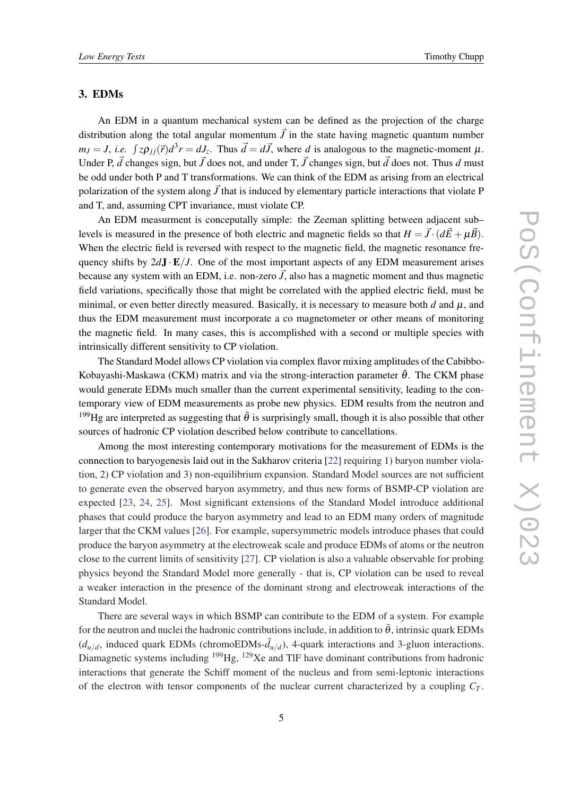#### 3. EDMs

An EDM in a quantum mechanical system can be defined as the projection of the charge distribution along the total angular momentum  $\vec{J}$  in the state having magnetic quantum number  $m_J = J$ , *i.e.*  $\int z \rho_{jj}(\vec{r}) d^3r = dJ_z$ . Thus  $\vec{d} = d\vec{J}$ , where *d* is analogous to the magnetic-moment  $\mu$ . Under P,  $\vec{d}$  changes sign, but  $\vec{J}$  does not, and under T,  $\vec{J}$  changes sign, but  $\vec{d}$  does not. Thus  $d$  must be odd under both P and T transformations. We can think of the EDM as arising from an electrical polarization of the system along  $\vec{J}$  that is induced by elementary particle interactions that violate P and T, and, assuming CPT invariance, must violate CP.

An EDM measurment is conceputally simple: the Zeeman splitting between adjacent sub– levels is measured in the presence of both electric and magnetic fields so that  $H = \vec{J} \cdot (d\vec{E} + \mu \vec{B})$ . When the electric field is reversed with respect to the magnetic field, the magnetic resonance frequency shifts by  $2dJ \cdot E/J$ . One of the most important aspects of any EDM measurement arises because any system with an EDM, i.e. non-zero  $\vec{J}$ , also has a magnetic moment and thus magnetic field variations, specifically those that might be correlated with the applied electric field, must be minimal, or even better directly measured. Basically, it is necessary to measure both  $d$  and  $\mu$ , and thus the EDM measurement must incorporate a co magnetometer or other means of monitoring the magnetic field. In many cases, this is accomplished with a second or multiple species with intrinsically different sensitivity to CP violation.

The Standard Model allows CP violation via complex flavor mixing amplitudes of the Cabibbo-Kobayashi-Maskawa (CKM) matrix and via the strong-interaction parameter  $\bar{\theta}$ . The CKM phase would generate EDMs much smaller than the current experimental sensitivity, leading to the contemporary view of EDM measurements as probe new physics. EDM results from the neutron and <sup>199</sup>Hg are interpreted as suggesting that  $\bar{\theta}$  is surprisingly small, though it is also possible that other sources of hadronic CP violation described below contribute to cancellations.

Among the most interesting contemporary motivations for the measurement of EDMs is the connection to baryogenesis laid out in the Sakharov criteria [[22\]](#page-12-0) requiring 1) baryon number violation, 2) CP violation and 3) non-equilibrium expansion. Standard Model sources are not sufficient to generate even the observed baryon asymmetry, and thus new forms of BSMP-CP violation are expected [[23,](#page-12-0) [24](#page-12-0), [25](#page-12-0)]. Most significant extensions of the Standard Model introduce additional phases that could produce the baryon asymmetry and lead to an EDM many orders of magnitude larger that the CKM values [\[26\]](#page-12-0). For example, supersymmetric models introduce phases that could produce the baryon asymmetry at the electroweak scale and produce EDMs of atoms or the neutron close to the current limits of sensitivity [[27\]](#page-12-0). CP violation is also a valuable observable for probing physics beyond the Standard Model more generally - that is, CP violation can be used to reveal a weaker interaction in the presence of the dominant strong and electroweak interactions of the Standard Model.

There are several ways in which BSMP can contribute to the EDM of a system. For example for the neutron and nuclei the hadronic contributions include, in addition to  $\bar{\theta}$ , intrinsic quark EDMs  $(d_{u/d})$ , induced quark EDMs (chromoEDMs- $\tilde{d}_{u/d}$ ), 4-quark interactions and 3-gluon interactions. Diamagnetic systems including  $^{199}$ Hg,  $^{129}$ Xe and TlF have dominant contributions from hadronic interactions that generate the Schiff moment of the nucleus and from semi-leptonic interactions of the electron with tensor components of the nuclear current characterized by a coupling  $C_T$ .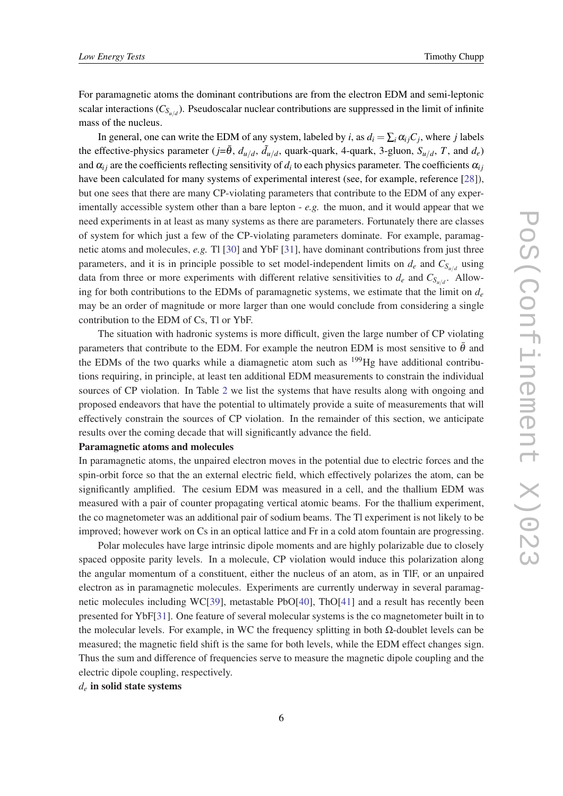For paramagnetic atoms the dominant contributions are from the electron EDM and semi-leptonic scalar interactions (*CSu*/*<sup>d</sup>* ). Pseudoscalar nuclear contributions are suppressed in the limit of infinite mass of the nucleus.

In general, one can write the EDM of any system, labeled by *i*, as  $d_i = \sum_i \alpha_{ij} C_j$ , where *j* labels the effective-physics parameter  $(j=\bar{\theta}, d_{u/d}, \tilde{d}_{u/d},$  quark-quark, 4-quark, 3-gluon,  $S_{u/d}, T$ , and  $d_e$ ) and  $\alpha_{ij}$  are the coefficients reflecting sensitivity of  $d_i$  to each physics parameter. The coefficients  $\alpha_{ij}$ have been calculated for many systems of experimental interest (see, for example, reference [\[28\]](#page-13-0)), but one sees that there are many CP-violating parameters that contribute to the EDM of any experimentally accessible system other than a bare lepton - *e.g.* the muon, and it would appear that we need experiments in at least as many systems as there are parameters. Fortunately there are classes of system for which just a few of the CP-violating parameters dominate. For example, paramagnetic atoms and molecules, *e.g.* Tl [\[30](#page-13-0)] and YbF [[31\]](#page-13-0), have dominant contributions from just three parameters, and it is in principle possible to set model-independent limits on  $d_e$  and  $C_{S_{u/d}}$  using data from three or more experiments with different relative sensitivities to  $d_e$  and  $C_{S_{u/d}}$ . Allowing for both contributions to the EDMs of paramagnetic systems, we estimate that the limit on  $d_e$ may be an order of magnitude or more larger than one would conclude from considering a single contribution to the EDM of Cs, Tl or YbF.

The situation with hadronic systems is more difficult, given the large number of CP violating parameters that contribute to the EDM. For example the neutron EDM is most sensitive to  $\bar{\theta}$  and the EDMs of the two quarks while a diamagnetic atom such as  $^{199}$ Hg have additional contributions requiring, in principle, at least ten additional EDM measurements to constrain the individual sources of CP violation. In Table [2](#page-6-0) we list the systems that have results along with ongoing and proposed endeavors that have the potential to ultimately provide a suite of measurements that will effectively constrain the sources of CP violation. In the remainder of this section, we anticipate results over the coming decade that will significantly advance the field.

#### Paramagnetic atoms and molecules

In paramagnetic atoms, the unpaired electron moves in the potential due to electric forces and the spin-orbit force so that the an external electric field, which effectively polarizes the atom, can be significantly amplified. The cesium EDM was measured in a cell, and the thallium EDM was measured with a pair of counter propagating vertical atomic beams. For the thallium experiment, the co magnetometer was an additional pair of sodium beams. The Tl experiment is not likely to be improved; however work on Cs in an optical lattice and Fr in a cold atom fountain are progressing.

Polar molecules have large intrinsic dipole moments and are highly polarizable due to closely spaced opposite parity levels. In a molecule, CP violation would induce this polarization along the angular momentum of a constituent, either the nucleus of an atom, as in TlF, or an unpaired electron as in paramagnetic molecules. Experiments are currently underway in several paramagnetic molecules including WC[[39\]](#page-13-0), metastable PbO[\[40](#page-13-0)], ThO[[41\]](#page-13-0) and a result has recently been presented for YbF[[31\]](#page-13-0). One feature of several molecular systems is the co magnetometer built in to the molecular levels. For example, in WC the frequency splitting in both  $\Omega$ -doublet levels can be measured; the magnetic field shift is the same for both levels, while the EDM effect changes sign. Thus the sum and difference of frequencies serve to measure the magnetic dipole coupling and the electric dipole coupling, respectively.

*d<sup>e</sup>* in solid state systems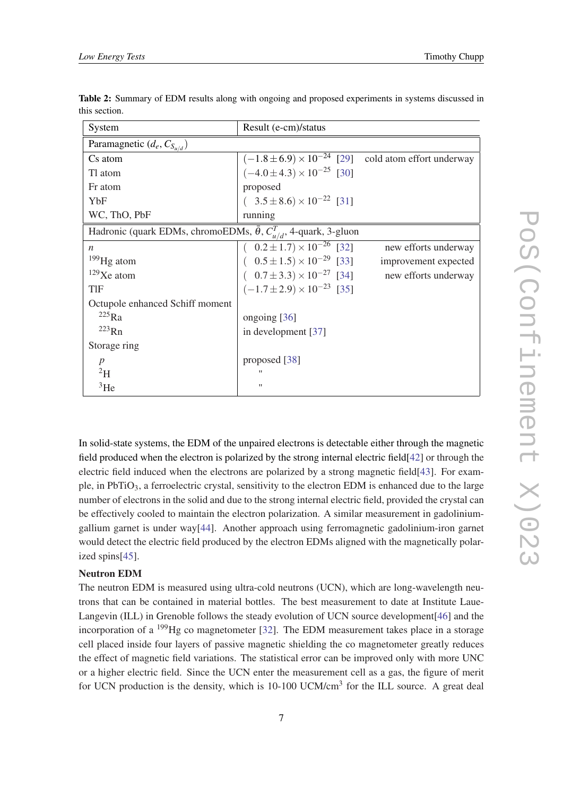| System                                                                            | Result (e-cm)/status                                            |                      |  |  |
|-----------------------------------------------------------------------------------|-----------------------------------------------------------------|----------------------|--|--|
| Paramagnetic $(d_e, C_{S_u/d})$                                                   |                                                                 |                      |  |  |
| Cs atom                                                                           | $(-1.8 \pm 6.9) \times 10^{-24}$ [29] cold atom effort underway |                      |  |  |
| Tl atom                                                                           | $(-4.0 \pm 4.3) \times 10^{-25}$ [30]                           |                      |  |  |
| Fr atom                                                                           | proposed                                                        |                      |  |  |
| YbF                                                                               | $(3.5 \pm 8.6) \times 10^{-22}$ [31]                            |                      |  |  |
| WC, ThO, PbF                                                                      | running                                                         |                      |  |  |
| Hadronic (quark EDMs, chromoEDMs, $\bar{\theta}$ , $C_{u/d}^T$ , 4-quark, 3-gluon |                                                                 |                      |  |  |
| $\boldsymbol{n}$                                                                  | $(0.2 \pm 1.7) \times 10^{-26}$ [32]                            | new efforts underway |  |  |
| $199$ Hg atom                                                                     | $(0.5 \pm 1.5) \times 10^{-29}$ [33]                            | improvement expected |  |  |
| $129$ Xe atom                                                                     | $(0.7 \pm 3.3) \times 10^{-27}$ [34]                            | new efforts underway |  |  |
| TIF                                                                               | $(-1.7 \pm 2.9) \times 10^{-23}$ [35]                           |                      |  |  |
| Octupole enhanced Schiff moment                                                   |                                                                 |                      |  |  |
| $225$ Ra                                                                          | ongoing [36]                                                    |                      |  |  |
| $^{223}$ Rn                                                                       | in development [37]                                             |                      |  |  |
| Storage ring                                                                      |                                                                 |                      |  |  |
| $\boldsymbol{p}$                                                                  | proposed [38]                                                   |                      |  |  |
| $^{2}H$                                                                           | $^{\dagger}$                                                    |                      |  |  |
| ${}^{3}$ He                                                                       | $^{\dagger}$                                                    |                      |  |  |

<span id="page-6-0"></span>Table 2: Summary of EDM results along with ongoing and proposed experiments in systems discussed in this section.

In solid-state systems, the EDM of the unpaired electrons is detectable either through the magnetic field produced when the electron is polarized by the strong internal electric field[\[42](#page-13-0)] or through the electric field induced when the electrons are polarized by a strong magnetic field[\[43](#page-13-0)]. For example, in PbTiO<sub>3</sub>, a ferroelectric crystal, sensitivity to the electron EDM is enhanced due to the large number of electrons in the solid and due to the strong internal electric field, provided the crystal can be effectively cooled to maintain the electron polarization. A similar measurement in gadoliniumgallium garnet is under way[\[44\]](#page-13-0). Another approach using ferromagnetic gadolinium-iron garnet would detect the electric field produced by the electron EDMs aligned with the magnetically polarized spins[\[45](#page-13-0)].

### Neutron EDM

The neutron EDM is measured using ultra-cold neutrons (UCN), which are long-wavelength neutrons that can be contained in material bottles. The best measurement to date at Institute Laue-Langevin (ILL) in Grenoble follows the steady evolution of UCN source development[[46\]](#page-13-0) and the incorporation of a <sup>199</sup>Hg co magnetometer [[32](#page-13-0)]. The EDM measurement takes place in a storage cell placed inside four layers of passive magnetic shielding the co magnetometer greatly reduces the effect of magnetic field variations. The statistical error can be improved only with more UNC or a higher electric field. Since the UCN enter the measurement cell as a gas, the figure of merit for UCN production is the density, which is 10-100 UCM/cm<sup>3</sup> for the ILL source. A great deal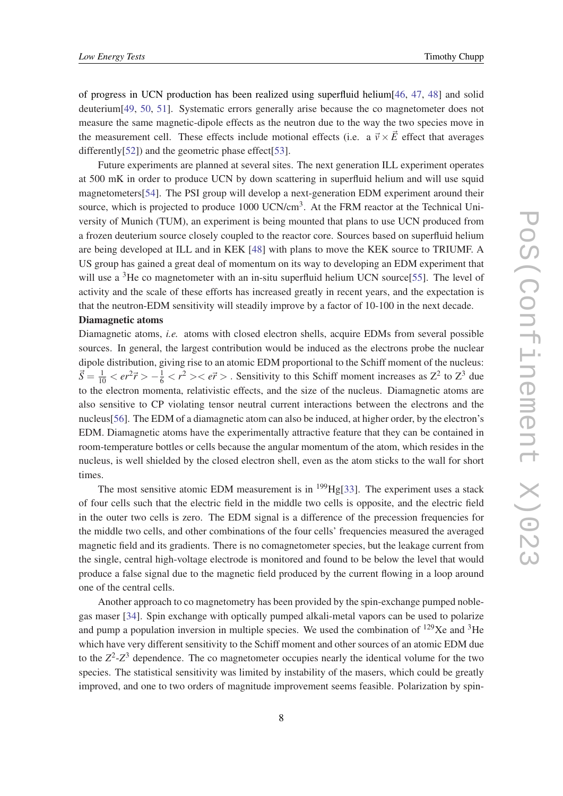of progress in UCN production has been realized using superfluid helium[[46,](#page-13-0) [47](#page-13-0), [48\]](#page-13-0) and solid deuterium[\[49](#page-13-0), [50](#page-13-0), [51\]](#page-13-0). Systematic errors generally arise because the co magnetometer does not measure the same magnetic-dipole effects as the neutron due to the way the two species move in the measurement cell. These effects include motional effects (i.e. a  $\vec{v} \times \vec{E}$  effect that averages differently[[52\]](#page-13-0)) and the geometric phase effect[\[53](#page-13-0)].

Future experiments are planned at several sites. The next generation ILL experiment operates at 500 mK in order to produce UCN by down scattering in superfluid helium and will use squid magnetometers[[54\]](#page-13-0). The PSI group will develop a next-generation EDM experiment around their source, which is projected to produce 1000 UCN/cm<sup>3</sup>. At the FRM reactor at the Technical University of Munich (TUM), an experiment is being mounted that plans to use UCN produced from a frozen deuterium source closely coupled to the reactor core. Sources based on superfluid helium are being developed at ILL and in KEK [\[48](#page-13-0)] with plans to move the KEK source to TRIUMF. A US group has gained a great deal of momentum on its way to developing an EDM experiment that will use a  ${}^{3}$ He co magnetometer with an in-situ superfluid helium UCN source $[55]$ . The level of activity and the scale of these efforts has increased greatly in recent years, and the expectation is that the neutron-EDM sensitivity will steadily improve by a factor of 10-100 in the next decade.

#### Diamagnetic atoms

Diamagnetic atoms, *i.e.* atoms with closed electron shells, acquire EDMs from several possible sources. In general, the largest contribution would be induced as the electrons probe the nuclear dipole distribution, giving rise to an atomic EDM proportional to the Schiff moment of the nucleus:  $\vec{S} = \frac{1}{10} < er^2\vec{r} > -\frac{1}{6} < r^2 > < e\vec{r} >$ . Sensitivity to this Schiff moment increases as  $Z^2$  to  $Z^3$  due to the electron momenta, relativistic effects, and the size of the nucleus. Diamagnetic atoms are also sensitive to CP violating tensor neutral current interactions between the electrons and the nucleus[\[56](#page-13-0)]. The EDM of a diamagnetic atom can also be induced, at higher order, by the electron's EDM. Diamagnetic atoms have the experimentally attractive feature that they can be contained in room-temperature bottles or cells because the angular momentum of the atom, which resides in the nucleus, is well shielded by the closed electron shell, even as the atom sticks to the wall for short times.

The most sensitive atomic EDM measurement is in  $^{199}$ Hg[[33\]](#page-13-0). The experiment uses a stack of four cells such that the electric field in the middle two cells is opposite, and the electric field in the outer two cells is zero. The EDM signal is a difference of the precession frequencies for the middle two cells, and other combinations of the four cells' frequencies measured the averaged magnetic field and its gradients. There is no comagnetometer species, but the leakage current from the single, central high-voltage electrode is monitored and found to be below the level that would produce a false signal due to the magnetic field produced by the current flowing in a loop around one of the central cells.

Another approach to co magnetometry has been provided by the spin-exchange pumped noblegas maser [[34](#page-13-0)]. Spin exchange with optically pumped alkali-metal vapors can be used to polarize and pump a population inversion in multiple species. We used the combination of  $^{129}Xe$  and  $^{3}He$ which have very different sensitivity to the Schiff moment and other sources of an atomic EDM due to the  $Z^2$ - $Z^3$  dependence. The co magnetometer occupies nearly the identical volume for the two species. The statistical sensitivity was limited by instability of the masers, which could be greatly improved, and one to two orders of magnitude improvement seems feasible. Polarization by spin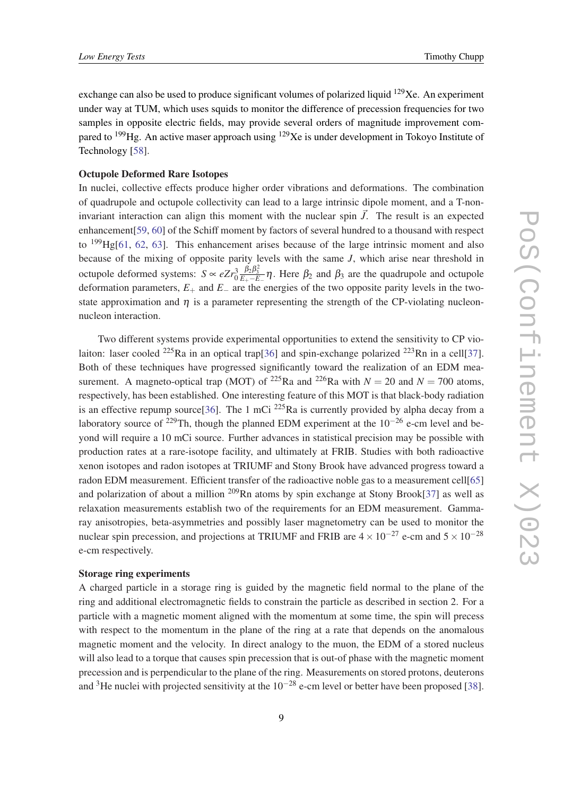exchange can also be used to produce significant volumes of polarized liquid <sup>129</sup>Xe. An experiment under way at TUM, which uses squids to monitor the difference of precession frequencies for two samples in opposite electric fields, may provide several orders of magnitude improvement compared to  $^{199}$ Hg. An active maser approach using  $^{129}$ Xe is under development in Tokoyo Institute of Technology [\[58\]](#page-13-0).

#### Octupole Deformed Rare Isotopes

In nuclei, collective effects produce higher order vibrations and deformations. The combination of quadrupole and octupole collectivity can lead to a large intrinsic dipole moment, and a T-noninvariant interaction can align this moment with the nuclear spin  $\vec{J}$ . The result is an expected enhancement[[59](#page-13-0), [60](#page-13-0)] of the Schiff moment by factors of several hundred to a thousand with respect to  $^{199}$ Hg[\[61](#page-13-0), [62](#page-14-0), [63\]](#page-14-0). This enhancement arises because of the large intrinsic moment and also because of the mixing of opposite parity levels with the same *J*, which arise near threshold in octupole deformed systems:  $S \propto eZr_0^3$  $\frac{\beta_2 \beta_3^2}{E_+ - E_-}$ η. Here  $\beta_2$  and  $\beta_3$  are the quadrupole and octupole deformation parameters,  $E_+$  and  $E_-$  are the energies of the two opposite parity levels in the twostate approximation and  $\eta$  is a parameter representing the strength of the CP-violating nucleonnucleon interaction.

Two different systems provide experimental opportunities to extend the sensitivity to CP vio-laiton: laser cooled <sup>225</sup>Ra in an optical trap[\[36](#page-13-0)] and spin-exchange polarized <sup>223</sup>Rn in a cell[[37\]](#page-13-0). Both of these techniques have progressed significantly toward the realization of an EDM measurement. A magneto-optical trap (MOT) of <sup>225</sup>Ra and <sup>226</sup>Ra with  $N = 20$  and  $N = 700$  atoms, respectively, has been established. One interesting feature of this MOT is that black-body radiation is an effective repump source[[36\]](#page-13-0). The 1 mCi  $^{225}$ Ra is currently provided by alpha decay from a laboratory source of <sup>229</sup>Th, though the planned EDM experiment at the  $10^{-26}$  e-cm level and beyond will require a 10 mCi source. Further advances in statistical precision may be possible with production rates at a rare-isotope facility, and ultimately at FRIB. Studies with both radioactive xenon isotopes and radon isotopes at TRIUMF and Stony Brook have advanced progress toward a radon EDM measurement. Efficient transfer of the radioactive noble gas to a measurement cell[\[65](#page-14-0)] and polarization of about a million  $^{209}$ Rn atoms by spin exchange at Stony Brook[\[37](#page-13-0)] as well as relaxation measurements establish two of the requirements for an EDM measurement. Gammaray anisotropies, beta-asymmetries and possibly laser magnetometry can be used to monitor the nuclear spin precession, and projections at TRIUMF and FRIB are  $4 \times 10^{-27}$  e-cm and  $5 \times 10^{-28}$ e-cm respectively.

### Storage ring experiments

A charged particle in a storage ring is guided by the magnetic field normal to the plane of the ring and additional electromagnetic fields to constrain the particle as described in section 2. For a particle with a magnetic moment aligned with the momentum at some time, the spin will precess with respect to the momentum in the plane of the ring at a rate that depends on the anomalous magnetic moment and the velocity. In direct analogy to the muon, the EDM of a stored nucleus will also lead to a torque that causes spin precession that is out-of phase with the magnetic moment precession and is perpendicular to the plane of the ring. Measurements on stored protons, deuterons and <sup>3</sup>He nuclei with projected sensitivity at the  $10^{-28}$  e-cm level or better have been proposed [[38\]](#page-13-0).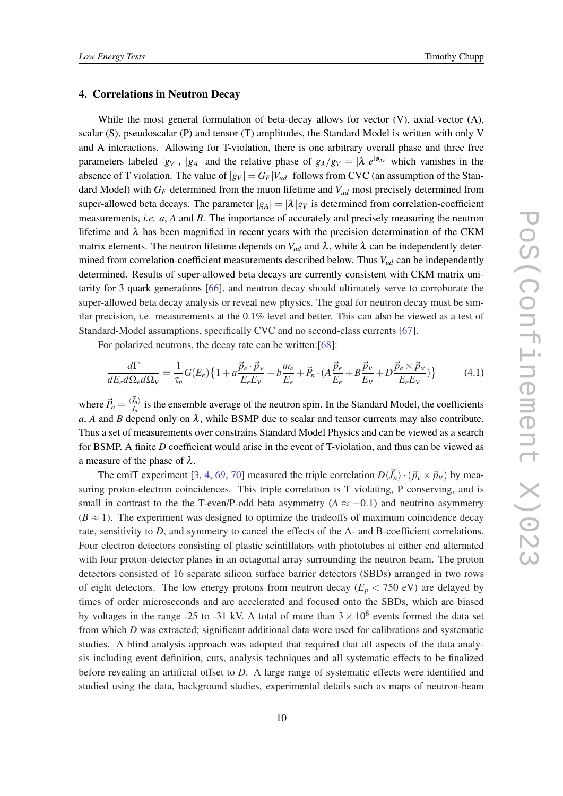#### 4. Correlations in Neutron Decay

While the most general formulation of beta-decay allows for vector (V), axial-vector (A), scalar (S), pseudoscalar (P) and tensor (T) amplitudes, the Standard Model is written with only V and A interactions. Allowing for T-violation, there is one arbitrary overall phase and three free parameters labeled  $|g_V|$ ,  $|g_A|$  and the relative phase of  $g_A/g_V = |\lambda|e^{i\phi_{AV}}$  which vanishes in the absence of T violation. The value of  $|g_V| = G_F|V_{ud}|$  follows from CVC (an assumption of the Standard Model) with *G<sup>F</sup>* determined from the muon lifetime and *Vud* most precisely determined from super-allowed beta decays. The parameter  $|g_A| = |\lambda| g_V$  is determined from correlation-coefficient measurements, *i.e. a*, *A* and *B*. The importance of accurately and precisely measuring the neutron lifetime and  $\lambda$  has been magnified in recent years with the precision determination of the CKM matrix elements. The neutron lifetime depends on  $V_{ud}$  and  $\lambda$ , while  $\lambda$  can be independently determined from correlation-coefficient measurements described below. Thus *Vud* can be independently determined. Results of super-allowed beta decays are currently consistent with CKM matrix unitarity for 3 quark generations [[66](#page-14-0)], and neutron decay should ultimately serve to corroborate the super-allowed beta decay analysis or reveal new physics. The goal for neutron decay must be similar precision, i.e. measurements at the 0.1% level and better. This can also be viewed as a test of Standard-Model assumptions, specifically CVC and no second-class currents [\[67](#page-14-0)].

For polarized neutrons, the decay rate can be written:[\[68](#page-14-0)]:

$$
\frac{d\Gamma}{dE_e d\Omega_e d\Omega_v} = \frac{1}{\tau_n} G(E_e) \left\{ 1 + a \frac{\vec{p}_e \cdot \vec{p}_v}{E_e E_v} + b \frac{m_e}{E_e} + \vec{P}_n \cdot (A \frac{\vec{p}_e}{E_e} + B \frac{\vec{p}_v}{E_v} + D \frac{\vec{p}_e \times \vec{p}_v}{E_e E_v}) \right\}
$$
(4.1)

where  $\vec{P}_n = \frac{\langle \vec{J}_n \rangle}{J_n}$  $J_n^{J_n}$  is the ensemble average of the neutron spin. In the Standard Model, the coefficients  $a, A$  and *B* depend only on  $\lambda$ , while BSMP due to scalar and tensor currents may also contribute. Thus a set of measurements over constrains Standard Model Physics and can be viewed as a search for BSMP. A finite *D* coefficient would arise in the event of T-violation, and thus can be viewed as a measure of the phase of  $\lambda$ .

The emiT experiment [\[3,](#page-12-0) [4,](#page-12-0) [69,](#page-14-0) [70](#page-14-0)] measured the triple correlation  $D\langle \vec{J}_n \rangle \cdot (\vec{p}_e \times \vec{p}_v)$  by measuring proton-electron coincidences. This triple correlation is T violating, P conserving, and is small in contrast to the the T-even/P-odd beta asymmetry ( $A \approx -0.1$ ) and neutrino asymmetry  $(B \approx 1)$ . The experiment was designed to optimize the tradeoffs of maximum coincidence decay rate, sensitivity to *D*, and symmetry to cancel the effects of the A- and B-coefficient correlations. Four electron detectors consisting of plastic scintillators with phototubes at either end alternated with four proton-detector planes in an octagonal array surrounding the neutron beam. The proton detectors consisted of 16 separate silicon surface barrier detectors (SBDs) arranged in two rows of eight detectors. The low energy protons from neutron decay  $(E_p < 750 \text{ eV})$  are delayed by times of order microseconds and are accelerated and focused onto the SBDs, which are biased by voltages in the range -25 to -31 kV. A total of more than  $3 \times 10^8$  events formed the data set from which *D* was extracted; significant additional data were used for calibrations and systematic studies. A blind analysis approach was adopted that required that all aspects of the data analysis including event definition, cuts, analysis techniques and all systematic effects to be finalized before revealing an artificial offset to *D*. A large range of systematic effects were identified and studied using the data, background studies, experimental details such as maps of neutron-beam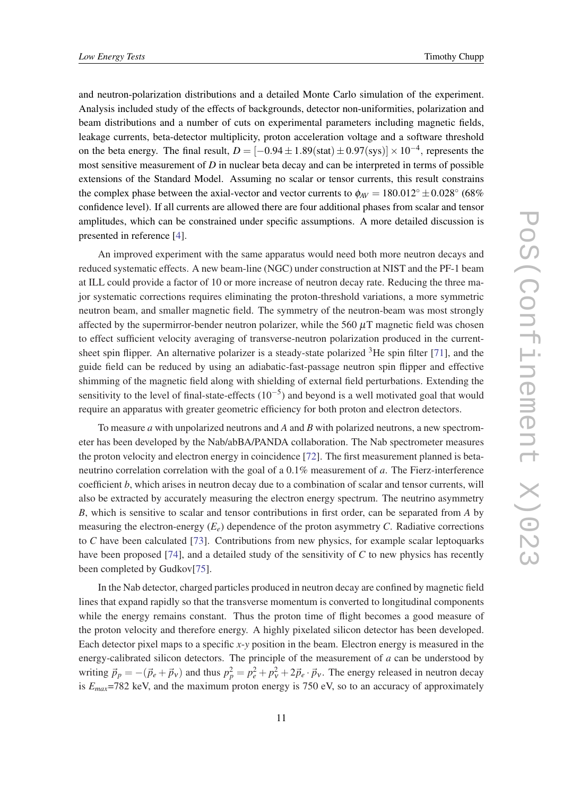and neutron-polarization distributions and a detailed Monte Carlo simulation of the experiment. Analysis included study of the effects of backgrounds, detector non-uniformities, polarization and beam distributions and a number of cuts on experimental parameters including magnetic fields, leakage currents, beta-detector multiplicity, proton acceleration voltage and a software threshold on the beta energy. The final result,  $D = [-0.94 \pm 1.89 \text{(stat)} \pm 0.97 \text{(sys)}] \times 10^{-4}$ , represents the most sensitive measurement of *D* in nuclear beta decay and can be interpreted in terms of possible extensions of the Standard Model. Assuming no scalar or tensor currents, this result constrains the complex phase between the axial-vector and vector currents to  $\phi_{AV} = 180.012^{\circ} \pm 0.028^{\circ}$  (68%) confidence level). If all currents are allowed there are four additional phases from scalar and tensor amplitudes, which can be constrained under specific assumptions. A more detailed discussion is presented in reference [\[4](#page-12-0)].

An improved experiment with the same apparatus would need both more neutron decays and reduced systematic effects. A new beam-line (NGC) under construction at NIST and the PF-1 beam at ILL could provide a factor of 10 or more increase of neutron decay rate. Reducing the three major systematic corrections requires eliminating the proton-threshold variations, a more symmetric neutron beam, and smaller magnetic field. The symmetry of the neutron-beam was most strongly affected by the supermirror-bender neutron polarizer, while the 560  $\mu$ T magnetic field was chosen to effect sufficient velocity averaging of transverse-neutron polarization produced in the currentsheet spin flipper. An alternative polarizer is a steady-state polarized  ${}^{3}$ He spin filter [\[71](#page-14-0)], and the guide field can be reduced by using an adiabatic-fast-passage neutron spin flipper and effective shimming of the magnetic field along with shielding of external field perturbations. Extending the sensitivity to the level of final-state-effects  $(10^{-5})$  and beyond is a well motivated goal that would require an apparatus with greater geometric efficiency for both proton and electron detectors.

To measure *a* with unpolarized neutrons and *A* and *B* with polarized neutrons, a new spectrometer has been developed by the Nab/abBA/PANDA collaboration. The Nab spectrometer measures the proton velocity and electron energy in coincidence [[72\]](#page-14-0). The first measurement planned is betaneutrino correlation correlation with the goal of a 0.1% measurement of *a*. The Fierz-interference coefficient *b*, which arises in neutron decay due to a combination of scalar and tensor currents, will also be extracted by accurately measuring the electron energy spectrum. The neutrino asymmetry *B*, which is sensitive to scalar and tensor contributions in first order, can be separated from *A* by measuring the electron-energy  $(E_e)$  dependence of the proton asymmetry *C*. Radiative corrections to *C* have been calculated [[73\]](#page-14-0). Contributions from new physics, for example scalar leptoquarks have been proposed [[74\]](#page-14-0), and a detailed study of the sensitivity of *C* to new physics has recently been completed by Gudkov[[75\]](#page-14-0).

In the Nab detector, charged particles produced in neutron decay are confined by magnetic field lines that expand rapidly so that the transverse momentum is converted to longitudinal components while the energy remains constant. Thus the proton time of flight becomes a good measure of the proton velocity and therefore energy. A highly pixelated silicon detector has been developed. Each detector pixel maps to a specific *x*-*y* position in the beam. Electron energy is measured in the energy-calibrated silicon detectors. The principle of the measurement of *a* can be understood by writing  $\vec{p}_p = -(\vec{p}_e + \vec{p}_v)$  and thus  $p_p^2 = p_e^2 + p_v^2 + 2\vec{p}_e \cdot \vec{p}_v$ . The energy released in neutron decay is *Emax*=782 keV, and the maximum proton energy is 750 eV, so to an accuracy of approximately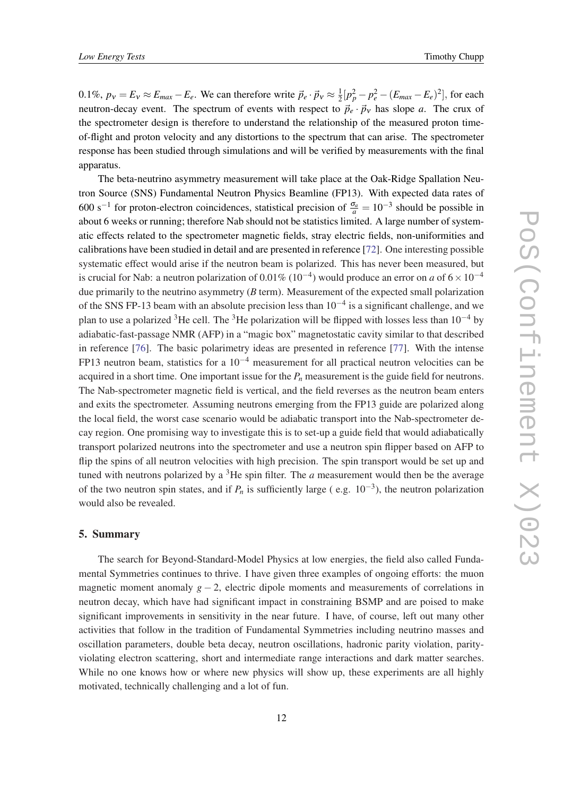0.1%,  $p_v = E_v \approx E_{max} - E_e$ . We can therefore write  $\vec{p}_e \cdot \vec{p}_v \approx \frac{1}{2}$  $\frac{1}{2}[p_p^2 - p_e^2 - (E_{max} - E_e)^2]$ , for each neutron-decay event. The spectrum of events with respect to  $\vec{p}_e \cdot \vec{p}_v$  has slope *a*. The crux of the spectrometer design is therefore to understand the relationship of the measured proton timeof-flight and proton velocity and any distortions to the spectrum that can arise. The spectrometer response has been studied through simulations and will be verified by measurements with the final apparatus.

The beta-neutrino asymmetry measurement will take place at the Oak-Ridge Spallation Neutron Source (SNS) Fundamental Neutron Physics Beamline (FP13). With expected data rates of 600 s<sup>-1</sup> for proton-electron coincidences, statistical precision of  $\frac{\sigma_a}{a} = 10^{-3}$  should be possible in about 6 weeks or running; therefore Nab should not be statistics limited. A large number of systematic effects related to the spectrometer magnetic fields, stray electric fields, non-uniformities and calibrations have been studied in detail and are presented in reference [\[72\]](#page-14-0). One interesting possible systematic effect would arise if the neutron beam is polarized. This has never been measured, but is crucial for Nab: a neutron polarization of  $0.01\%$  ( $10^{-4}$ ) would produce an error on *a* of  $6 \times 10^{-4}$ due primarily to the neutrino asymmetry (*B* term). Measurement of the expected small polarization of the SNS FP-13 beam with an absolute precision less than  $10^{-4}$  is a significant challenge, and we plan to use a polarized <sup>3</sup>He cell. The <sup>3</sup>He polarization will be flipped with losses less than 10<sup>-4</sup> by adiabatic-fast-passage NMR (AFP) in a "magic box" magnetostatic cavity similar to that described in reference [\[76](#page-14-0)]. The basic polarimetry ideas are presented in reference [[77\]](#page-14-0). With the intense FP13 neutron beam, statistics for a  $10^{-4}$  measurement for all practical neutron velocities can be acquired in a short time. One important issue for the  $P<sub>n</sub>$  measurement is the guide field for neutrons. The Nab-spectrometer magnetic field is vertical, and the field reverses as the neutron beam enters and exits the spectrometer. Assuming neutrons emerging from the FP13 guide are polarized along the local field, the worst case scenario would be adiabatic transport into the Nab-spectrometer decay region. One promising way to investigate this is to set-up a guide field that would adiabatically transport polarized neutrons into the spectrometer and use a neutron spin flipper based on AFP to flip the spins of all neutron velocities with high precision. The spin transport would be set up and tuned with neutrons polarized by a  ${}^{3}$ He spin filter. The *a* measurement would then be the average of the two neutron spin states, and if  $P_n$  is sufficiently large (e.g.  $10^{-3}$ ), the neutron polarization would also be revealed.

#### 5. Summary

The search for Beyond-Standard-Model Physics at low energies, the field also called Fundamental Symmetries continues to thrive. I have given three examples of ongoing efforts: the muon magnetic moment anomaly  $g - 2$ , electric dipole moments and measurements of correlations in neutron decay, which have had significant impact in constraining BSMP and are poised to make significant improvements in sensitivity in the near future. I have, of course, left out many other activities that follow in the tradition of Fundamental Symmetries including neutrino masses and oscillation parameters, double beta decay, neutron oscillations, hadronic parity violation, parityviolating electron scattering, short and intermediate range interactions and dark matter searches. While no one knows how or where new physics will show up, these experiments are all highly motivated, technically challenging and a lot of fun.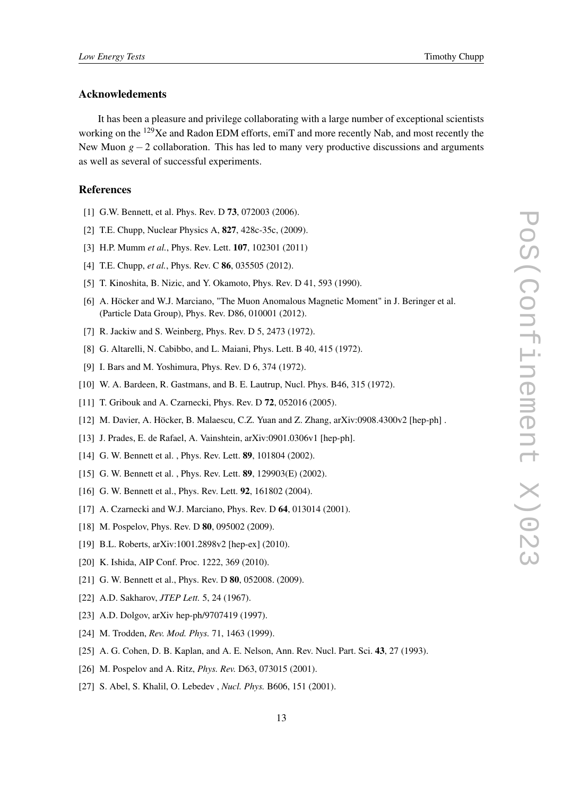### <span id="page-12-0"></span>Acknowledements

It has been a pleasure and privilege collaborating with a large number of exceptional scientists working on the <sup>129</sup>Xe and Radon EDM efforts, emiT and more recently Nab, and most recently the New Muon *g*−2 collaboration. This has led to many very productive discussions and arguments as well as several of successful experiments.

#### References

- [1] G.W. Bennett, et al. Phys. Rev. D **73**, 072003 (2006).
- [2] T.E. Chupp, Nuclear Physics A, 827, 428c-35c, (2009).
- [3] H.P. Mumm *et al.*, Phys. Rev. Lett. 107, 102301 (2011)
- [4] T.E. Chupp, *et al.*, Phys. Rev. C **86**, 035505 (2012).
- [5] T. Kinoshita, B. Nizic, and Y. Okamoto, Phys. Rev. D 41, 593 (1990).
- [6] A. Höcker and W.J. Marciano, "The Muon Anomalous Magnetic Moment" in J. Beringer et al. (Particle Data Group), Phys. Rev. D86, 010001 (2012).
- [7] R. Jackiw and S. Weinberg, Phys. Rev. D 5, 2473 (1972).
- [8] G. Altarelli, N. Cabibbo, and L. Maiani, Phys. Lett. B 40, 415 (1972).
- [9] I. Bars and M. Yoshimura, Phys. Rev. D 6, 374 (1972).
- [10] W. A. Bardeen, R. Gastmans, and B. E. Lautrup, Nucl. Phys. B46, 315 (1972).
- [11] T. Gribouk and A. Czarnecki, Phys. Rev. D 72, 052016 (2005).
- [12] M. Davier, A. Höcker, B. Malaescu, C.Z. Yuan and Z. Zhang, arXiv:0908.4300v2 [hep-ph] .
- [13] J. Prades, E. de Rafael, A. Vainshtein, arXiv:0901.0306v1 [hep-ph].
- [14] G. W. Bennett et al., Phys. Rev. Lett. **89**, 101804 (2002).
- [15] G. W. Bennett et al., Phys. Rev. Lett. **89**, 129903(E) (2002).
- [16] G. W. Bennett et al., Phys. Rev. Lett. **92**, 161802 (2004).
- [17] A. Czarnecki and W.J. Marciano, Phys. Rev. D 64, 013014 (2001).
- [18] M. Pospelov, Phys. Rev. D **80**, 095002 (2009).
- [19] B.L. Roberts, arXiv:1001.2898v2 [hep-ex] (2010).
- [20] K. Ishida, AIP Conf. Proc. 1222, 369 (2010).
- [21] G. W. Bennett et al., Phys. Rev. D **80**, 052008. (2009).
- [22] A.D. Sakharov, *JTEP Lett.* 5, 24 (1967).
- [23] A.D. Dolgov, arXiv hep-ph/9707419 (1997).
- [24] M. Trodden, *Rev. Mod. Phys.* 71, 1463 (1999).
- [25] A. G. Cohen, D. B. Kaplan, and A. E. Nelson, Ann. Rev. Nucl. Part. Sci. 43, 27 (1993).
- [26] M. Pospelov and A. Ritz, *Phys. Rev.* D63, 073015 (2001).
- [27] S. Abel, S. Khalil, O. Lebedev , *Nucl. Phys.* B606, 151 (2001).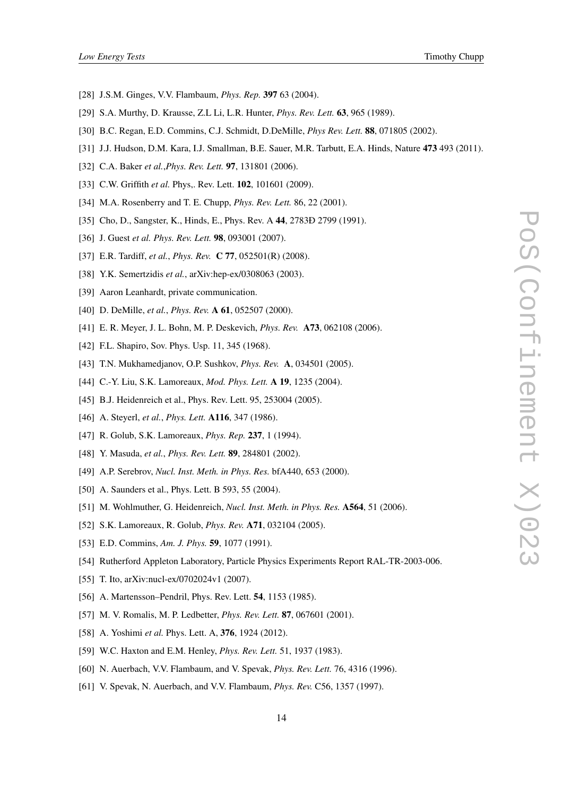- <span id="page-13-0"></span>[28] J.S.M. Ginges, V.V. Flambaum, *Phys. Rep.* 397 63 (2004).
- [29] S.A. Murthy, D. Krausse, Z.L Li, L.R. Hunter, *Phys. Rev. Lett.* 63, 965 (1989).
- [30] B.C. Regan, E.D. Commins, C.J. Schmidt, D.DeMille, *Phys Rev. Lett.* 88, 071805 (2002).
- [31] J.J. Hudson, D.M. Kara, I.J. Smallman, B.E. Sauer, M.R. Tarbutt, E.A. Hinds, Nature 473 493 (2011).
- [32] C.A. Baker *et al.*,*Phys. Rev. Lett.* 97, 131801 (2006).
- [33] C.W. Griffith *et al.* Phys,. Rev. Lett. **102**, 101601 (2009).
- [34] M.A. Rosenberry and T. E. Chupp, *Phys. Rev. Lett.* 86, 22 (2001).
- [35] Cho, D., Sangster, K., Hinds, E., Phys. Rev. A 44, 2783Đ 2799 (1991).
- [36] J. Guest *et al. Phys. Rev. Lett.* **98**, 093001 (2007).
- [37] E.R. Tardiff, *et al.*, *Phys. Rev.* C 77, 052501(R) (2008).
- [38] Y.K. Semertzidis *et al.*, arXiv:hep-ex/0308063 (2003).
- [39] Aaron Leanhardt, private communication.
- [40] D. DeMille, *et al.*, *Phys. Rev.* A 61, 052507 (2000).
- [41] E. R. Meyer, J. L. Bohn, M. P. Deskevich, *Phys. Rev.* A73, 062108 (2006).
- [42] F.L. Shapiro, Sov. Phys. Usp. 11, 345 (1968).
- [43] T.N. Mukhamedjanov, O.P. Sushkov, *Phys. Rev.* A, 034501 (2005).
- [44] C.-Y. Liu, S.K. Lamoreaux, *Mod. Phys. Lett.* A 19, 1235 (2004).
- [45] B.J. Heidenreich et al., Phys. Rev. Lett. 95, 253004 (2005).
- [46] A. Steyerl, *et al.*, *Phys. Lett.* A116, 347 (1986).
- [47] R. Golub, S.K. Lamoreaux, *Phys. Rep.* 237, 1 (1994).
- [48] Y. Masuda, *et al.*, *Phys. Rev. Lett.* 89, 284801 (2002).
- [49] A.P. Serebrov, *Nucl. Inst. Meth. in Phys. Res.* bfA440, 653 (2000).
- [50] A. Saunders et al., Phys. Lett. B 593, 55 (2004).
- [51] M. Wohlmuther, G. Heidenreich, *Nucl. Inst. Meth. in Phys. Res.* A564, 51 (2006).
- [52] S.K. Lamoreaux, R. Golub, *Phys. Rev.* A71, 032104 (2005).
- [53] E.D. Commins, *Am. J. Phys.* 59, 1077 (1991).
- [54] Rutherford Appleton Laboratory, Particle Physics Experiments Report RAL-TR-2003-006.
- [55] T. Ito, arXiv:nucl-ex/0702024v1 (2007).
- [56] A. Martensson–Pendril, Phys. Rev. Lett. **54**, 1153 (1985).
- [57] M. V. Romalis, M. P. Ledbetter, *Phys. Rev. Lett.* 87, 067601 (2001).
- [58] A. Yoshimi *et al.* Phys. Lett. A, 376, 1924 (2012).
- [59] W.C. Haxton and E.M. Henley, *Phys. Rev. Lett.* 51, 1937 (1983).
- [60] N. Auerbach, V.V. Flambaum, and V. Spevak, *Phys. Rev. Lett.* 76, 4316 (1996).
- [61] V. Spevak, N. Auerbach, and V.V. Flambaum, *Phys. Rev.* C56, 1357 (1997).